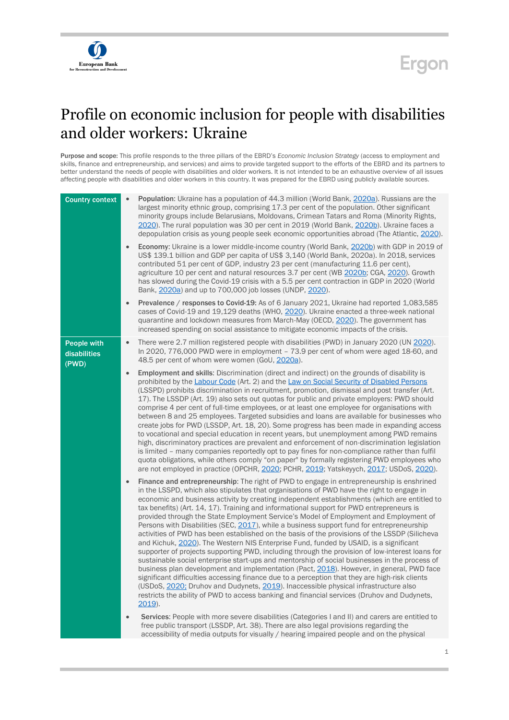

## Ergon

## Profile on economic inclusion for people with disabilities and older workers: Ukraine

Purpose and scope: This profile responds to the three pillars of the EBRD's *Economic Inclusion Strategy* (access to employment and skills, finance and entrepreneurship, and services) and aims to provide targeted support to the efforts of the EBRD and its partners to better understand the needs of people with disabilities and older workers. It is not intended to be an exhaustive overview of all issues affecting people with disabilities and older workers in this country. It was prepared for the EBRD using publicly available sources.

| <b>Country context</b>               | $\bullet$ | Population: Ukraine has a population of 44.3 million (World Bank, 2020a). Russians are the<br>largest minority ethnic group, comprising 17.3 per cent of the population. Other significant<br>minority groups include Belarusians, Moldovans, Crimean Tatars and Roma (Minority Rights,<br>2020). The rural population was 30 per cent in 2019 (World Bank, 2020b). Ukraine faces a<br>depopulation crisis as young people seek economic opportunities abroad (The Atlantic, 2020).                                                                                                                                                                                                                                                                                                                                                                                                                                                                                                                                                                                                                                                                                                                                                                                                                                                                                     |
|--------------------------------------|-----------|-------------------------------------------------------------------------------------------------------------------------------------------------------------------------------------------------------------------------------------------------------------------------------------------------------------------------------------------------------------------------------------------------------------------------------------------------------------------------------------------------------------------------------------------------------------------------------------------------------------------------------------------------------------------------------------------------------------------------------------------------------------------------------------------------------------------------------------------------------------------------------------------------------------------------------------------------------------------------------------------------------------------------------------------------------------------------------------------------------------------------------------------------------------------------------------------------------------------------------------------------------------------------------------------------------------------------------------------------------------------------|
|                                      | $\bullet$ | Economy: Ukraine is a lower middle-income country (World Bank, 2020b) with GDP in 2019 of<br>US\$ 139.1 billion and GDP per capita of US\$ 3,140 (World Bank, 2020a). In 2018, services<br>contributed 51 per cent of GDP, industry 23 per cent (manufacturing 11.6 per cent),<br>agriculture 10 per cent and natural resources 3.7 per cent (WB 2020b; CGA, 2020). Growth<br>has slowed during the Covid-19 crisis with a 5.5 per cent contraction in GDP in 2020 (World<br>Bank, 2020a) and up to 700,000 job losses (UNDP, 2020).                                                                                                                                                                                                                                                                                                                                                                                                                                                                                                                                                                                                                                                                                                                                                                                                                                    |
|                                      | $\bullet$ | Prevalence / responses to Covid-19: As of 6 January 2021, Ukraine had reported 1,083,585<br>cases of Covid-19 and 19,129 deaths (WHO, 2020). Ukraine enacted a three-week national<br>quarantine and lockdown measures from March-May (OECD, 2020). The government has<br>increased spending on social assistance to mitigate economic impacts of the crisis.                                                                                                                                                                                                                                                                                                                                                                                                                                                                                                                                                                                                                                                                                                                                                                                                                                                                                                                                                                                                           |
| People with<br>disabilities<br>(PWD) | $\bullet$ | There were 2.7 million registered people with disabilities (PWD) in January 2020 (UN 2020).<br>In 2020, 776,000 PWD were in employment - 73.9 per cent of whom were aged 18-60, and<br>48.5 per cent of whom were women (GoU, 2020a).                                                                                                                                                                                                                                                                                                                                                                                                                                                                                                                                                                                                                                                                                                                                                                                                                                                                                                                                                                                                                                                                                                                                   |
|                                      | $\bullet$ | Employment and skills: Discrimination (direct and indirect) on the grounds of disability is<br>prohibited by the Labour Code (Art. 2) and the Law on Social Security of Disabled Persons<br>(LSSPD) prohibits discrimination in recruitment, promotion, dismissal and post transfer (Art.<br>17). The LSSDP (Art. 19) also sets out quotas for public and private employers: PWD should<br>comprise 4 per cent of full-time employees, or at least one employee for organisations with<br>between 8 and 25 employees. Targeted subsidies and loans are available for businesses who<br>create jobs for PWD (LSSDP, Art. 18, 20). Some progress has been made in expanding access<br>to vocational and special education in recent years, but unemployment among PWD remains<br>high, discriminatory practices are prevalent and enforcement of non-discrimination legislation<br>is limited - many companies reportedly opt to pay fines for non-compliance rather than fulfil<br>quota obligations, while others comply "on paper" by formally registering PWD employees who<br>are not employed in practice (OPCHR, 2020; PCHR, 2019; Yatskeyych, 2017; USDoS, 2020).                                                                                                                                                                                                 |
|                                      | $\bullet$ | Finance and entrepreneurship: The right of PWD to engage in entrepreneurship is enshrined<br>in the LSSPD, which also stipulates that organisations of PWD have the right to engage in<br>economic and business activity by creating independent establishments (which are entitled to<br>tax benefits) (Art. 14, 17). Training and informational support for PWD entrepreneurs is<br>provided through the State Employment Service's Model of Employment and Employment of<br>Persons with Disabilities (SEC, 2017), while a business support fund for entrepreneurship<br>activities of PWD has been established on the basis of the provisions of the LSSDP (Silicheva<br>and Kichuk, 2020). The Western NIS Enterprise Fund, funded by USAID, is a significant<br>supporter of projects supporting PWD, including through the provision of low-interest loans for<br>sustainable social enterprise start-ups and mentorship of social businesses in the process of<br>business plan development and implementation (Pact, 2018). However, in general, PWD face<br>significant difficulties accessing finance due to a perception that they are high-risk clients<br>(USDoS, 2020; Druhov and Dudynets, 2019). Inaccessible physical infrastructure also<br>restricts the ability of PWD to access banking and financial services (Druhov and Dudynets,<br>$2019$ ). |
|                                      | $\bullet$ | Services: People with more severe disabilities (Categories I and II) and carers are entitled to<br>free public transport (LSSDP, Art. 38). There are also legal provisions regarding the<br>accessibility of media outputs for visually / hearing impaired people and on the physical                                                                                                                                                                                                                                                                                                                                                                                                                                                                                                                                                                                                                                                                                                                                                                                                                                                                                                                                                                                                                                                                                   |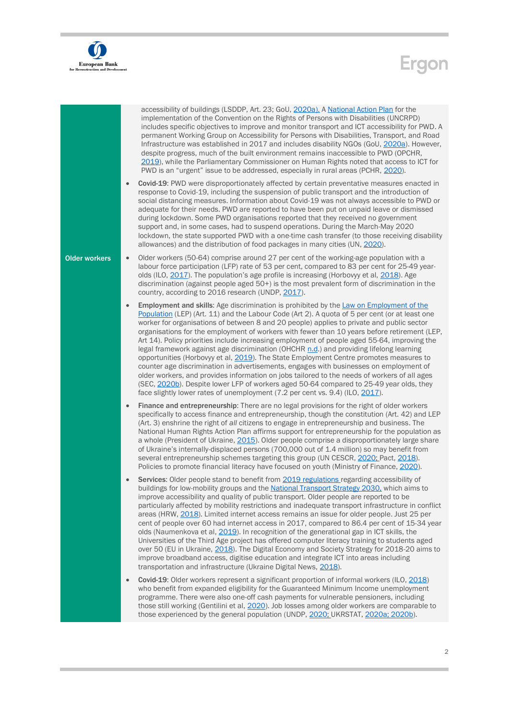

## Ergon

|                      | $\bullet$ | accessibility of buildings (LSDDP, Art. 23; GoU, 2020a). A National Action Plan for the<br>implementation of the Convention on the Rights of Persons with Disabilities (UNCRPD)<br>includes specific objectives to improve and monitor transport and ICT accessibility for PWD. A<br>permanent Working Group on Accessibility for Persons with Disabilities, Transport, and Road<br>Infrastructure was established in 2017 and includes disability NGOs (GoU, 2020a). However,<br>despite progress, much of the built environment remains inaccessible to PWD (OPCHR,<br>2019), while the Parliamentary Commissioner on Human Rights noted that access to ICT for<br>PWD is an "urgent" issue to be addressed, especially in rural areas (PCHR, 2020).<br>Covid-19: PWD were disproportionately affected by certain preventative measures enacted in                                                                                                                                                                                              |
|----------------------|-----------|---------------------------------------------------------------------------------------------------------------------------------------------------------------------------------------------------------------------------------------------------------------------------------------------------------------------------------------------------------------------------------------------------------------------------------------------------------------------------------------------------------------------------------------------------------------------------------------------------------------------------------------------------------------------------------------------------------------------------------------------------------------------------------------------------------------------------------------------------------------------------------------------------------------------------------------------------------------------------------------------------------------------------------------------------|
|                      |           | response to Covid-19, including the suspension of public transport and the introduction of<br>social distancing measures. Information about Covid-19 was not always accessible to PWD or<br>adequate for their needs. PWD are reported to have been put on unpaid leave or dismissed<br>during lockdown. Some PWD organisations reported that they received no government<br>support and, in some cases, had to suspend operations. During the March-May 2020<br>lockdown, the state supported PWD with a one-time cash transfer (to those receiving disability<br>allowances) and the distribution of food packages in many cities (UN, 2020).                                                                                                                                                                                                                                                                                                                                                                                                   |
| <b>Older workers</b> | $\bullet$ | Older workers (50-64) comprise around 27 per cent of the working-age population with a<br>labour force participation (LFP) rate of 53 per cent, compared to 83 per cent for 25-49 year-<br>olds (ILO, 2017). The population's age profile is increasing (Horbovyy et al, 2018). Age<br>discrimination (against people aged 50+) is the most prevalent form of discrimination in the<br>country, according to 2016 research (UNDP, 2017).                                                                                                                                                                                                                                                                                                                                                                                                                                                                                                                                                                                                          |
|                      | $\bullet$ | Employment and skills: Age discrimination is prohibited by the Law on Employment of the<br>Population (LEP) (Art. 11) and the Labour Code (Art 2). A quota of 5 per cent (or at least one<br>worker for organisations of between 8 and 20 people) applies to private and public sector<br>organisations for the employment of workers with fewer than 10 years before retirement (LEP,<br>Art 14). Policy priorities include increasing employment of people aged 55-64, improving the<br>legal framework against age discrimination (OHCHR n.d.) and providing lifelong learning<br>opportunities (Horbovyy et al, 2019). The State Employment Centre promotes measures to<br>counter age discrimination in advertisements, engages with businesses on employment of<br>older workers, and provides information on jobs tailored to the needs of workers of all ages<br>(SEC, 2020b). Despite lower LFP of workers aged 50-64 compared to 25-49 year olds, they<br>face slightly lower rates of unemployment (7.2 per cent vs. 9.4) (ILO, 2017). |
|                      | $\bullet$ | Finance and entrepreneurship: There are no legal provisions for the right of older workers<br>specifically to access finance and entrepreneurship, though the constitution (Art. 42) and LEP<br>(Art. 3) enshrine the right of all citizens to engage in entrepreneurship and business. The<br>National Human Rights Action Plan affirms support for entrepreneurship for the population as<br>a whole (President of Ukraine, 2015). Older people comprise a disproportionately large share<br>of Ukraine's internally-displaced persons (700,000 out of 1.4 million) so may benefit from<br>several entrepreneurship schemes targeting this group (UN CESCR, 2020; Pact, 2018).<br>Policies to promote financial literacy have focused on youth (Ministry of Finance, 2020).                                                                                                                                                                                                                                                                     |
|                      | $\bullet$ | Services: Older people stand to benefit from 2019 regulations regarding accessibility of<br>buildings for low-mobility groups and the National Transport Strategy 2030, which aims to<br>improve accessibility and quality of public transport. Older people are reported to be<br>particularly affected by mobility restrictions and inadequate transport infrastructure in conflict<br>areas (HRW, 2018). Limited internet access remains an issue for older people. Just 25 per<br>cent of people over 60 had internet access in 2017, compared to 86.4 per cent of 15-34 year<br>olds (Naumenkova et al, 2019). In recognition of the generational gap in ICT skills, the<br>Universities of the Third Age project has offered computer literacy training to students aged<br>over 50 (EU in Ukraine, 2018). The Digital Economy and Society Strategy for 2018-20 aims to<br>improve broadband access, digitise education and integrate ICT into areas including<br>transportation and infrastructure (Ukraine Digital News, 2018).           |
|                      | $\bullet$ | Covid-19: Older workers represent a significant proportion of informal workers (ILO, 2018)<br>who benefit from expanded eligibility for the Guaranteed Minimum Income unemployment<br>programme. There were also one-off cash payments for vulnerable pensioners, including<br>those still working (Gentilini et al, 2020). Job losses among older workers are comparable to<br>those experienced by the general population (UNDP, 2020; UKRSTAT, 2020a; 2020b).                                                                                                                                                                                                                                                                                                                                                                                                                                                                                                                                                                                  |